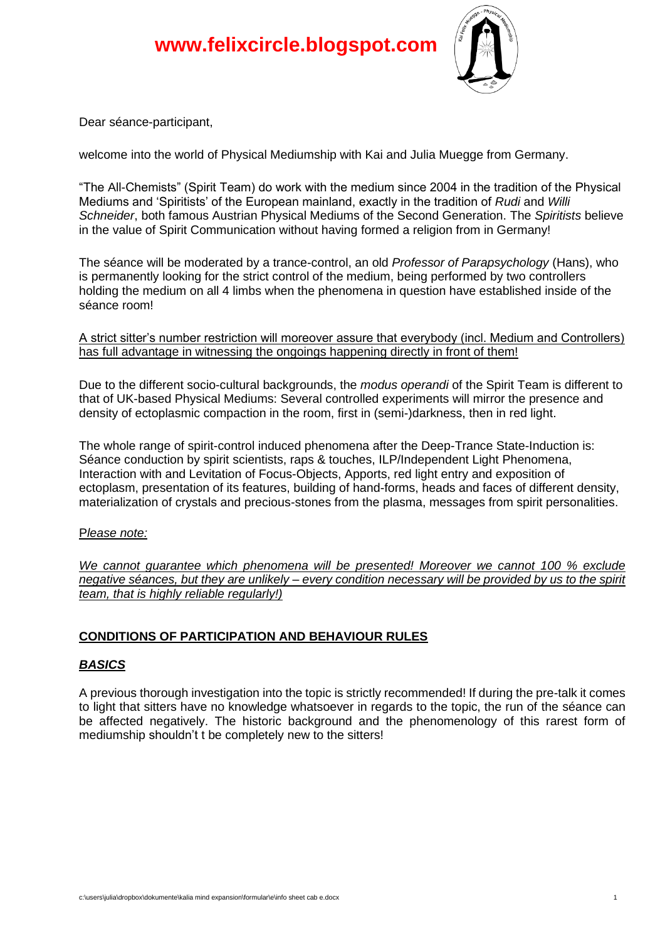

Dear séance-participant,

welcome into the world of Physical Mediumship with Kai and Julia Muegge from Germany.

"The All-Chemists" (Spirit Team) do work with the medium since 2004 in the tradition of the Physical Mediums and 'Spiritists' of the European mainland, exactly in the tradition of *Rudi* and *Willi Schneider*, both famous Austrian Physical Mediums of the Second Generation. The *Spiritists* believe in the value of Spirit Communication without having formed a religion from in Germany!

The séance will be moderated by a trance-control, an old *Professor of Parapsychology* (Hans), who is permanently looking for the strict control of the medium, being performed by two controllers holding the medium on all 4 limbs when the phenomena in question have established inside of the séance room!

A strict sitter's number restriction will moreover assure that everybody (incl. Medium and Controllers) has full advantage in witnessing the ongoings happening directly in front of them!

Due to the different socio-cultural backgrounds, the *modus operandi* of the Spirit Team is different to that of UK-based Physical Mediums: Several controlled experiments will mirror the presence and density of ectoplasmic compaction in the room, first in (semi-)darkness, then in red light.

The whole range of spirit-control induced phenomena after the Deep-Trance State-Induction is: Séance conduction by spirit scientists, raps & touches, ILP/Independent Light Phenomena, Interaction with and Levitation of Focus-Objects, Apports, red light entry and exposition of ectoplasm, presentation of its features, building of hand-forms, heads and faces of different density, materialization of crystals and precious-stones from the plasma, messages from spirit personalities.

### P*lease note:*

*We cannot guarantee which phenomena will be presented! Moreover we cannot 100 % exclude negative séances, but they are unlikely – every condition necessary will be provided by us to the spirit team, that is highly reliable regularly!)*

# **CONDITIONS OF PARTICIPATION AND BEHAVIOUR RULES**

# *BASICS*

A previous thorough investigation into the topic is strictly recommended! If during the pre-talk it comes to light that sitters have no knowledge whatsoever in regards to the topic, the run of the séance can be affected negatively. The historic background and the phenomenology of this rarest form of mediumship shouldn't t be completely new to the sitters!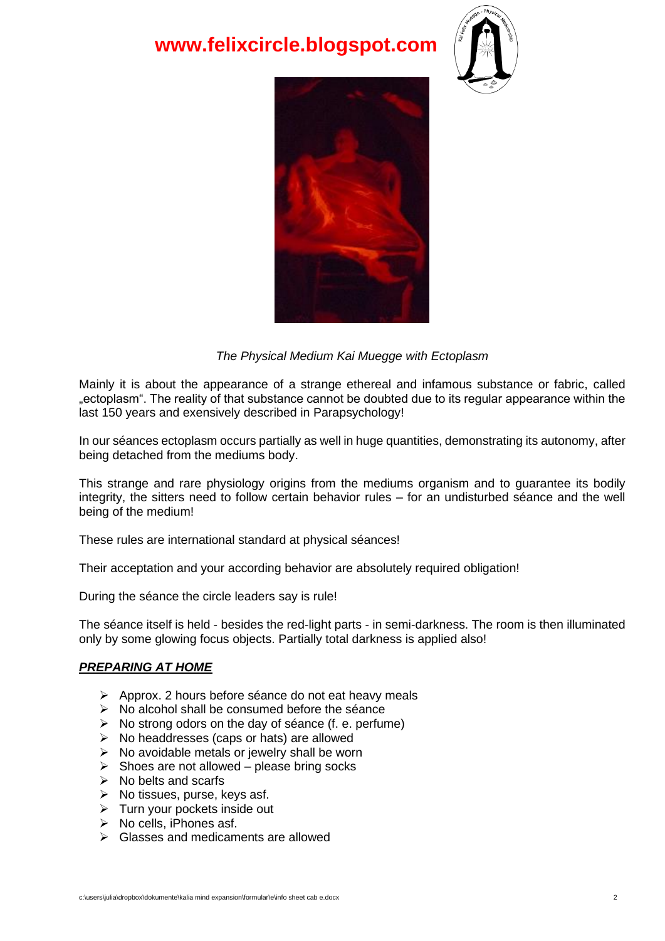# **www.felixcircle.blogspot.com**





## *The Physical Medium Kai Muegge with Ectoplasm*

Mainly it is about the appearance of a strange ethereal and infamous substance or fabric, called "ectoplasm". The reality of that substance cannot be doubted due to its regular appearance within the last 150 years and exensively described in Parapsychology!

In our séances ectoplasm occurs partially as well in huge quantities, demonstrating its autonomy, after being detached from the mediums body.

This strange and rare physiology origins from the mediums organism and to guarantee its bodily integrity, the sitters need to follow certain behavior rules – for an undisturbed séance and the well being of the medium!

These rules are international standard at physical séances!

Their acceptation and your according behavior are absolutely required obligation!

During the séance the circle leaders say is rule!

The séance itself is held - besides the red-light parts - in semi-darkness. The room is then illuminated only by some glowing focus objects. Partially total darkness is applied also!

### *PREPARING AT HOME*

- ➢ Approx. 2 hours before séance do not eat heavy meals
- ➢ No alcohol shall be consumed before the séance
- ➢ No strong odors on the day of séance (f. e. perfume)
- $\triangleright$  No headdresses (caps or hats) are allowed
- $\triangleright$  No avoidable metals or jewelry shall be worn
- $\triangleright$  Shoes are not allowed please bring socks
- $\triangleright$  No belts and scarfs
- $\triangleright$  No tissues, purse, keys asf.
- $\triangleright$  Turn your pockets inside out
- ➢ No cells, iPhones asf.
- ➢ Glasses and medicaments are allowed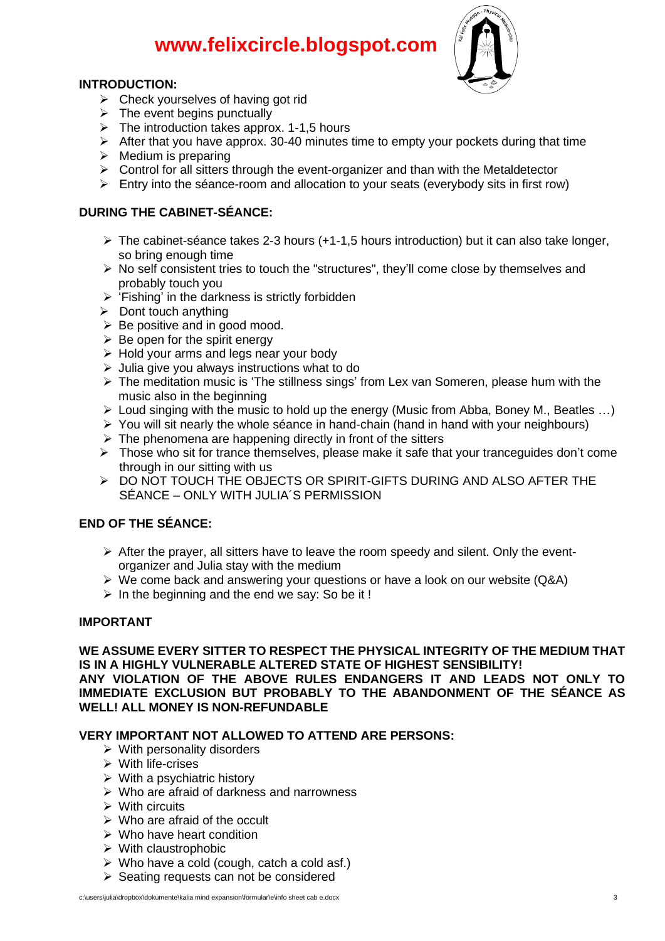# **www.felixcircle.blogspot.com**

### **m INTRODUCTION:**



- **RODUCTION:**<br>► Check yourselves of having got rid
- $\triangleright$  The event begins punctually
- ➢ The introduction takes approx. 1-1,5 hours
- ➢ After that you have approx. 30-40 minutes time to empty your pockets during that time
- $\triangleright$  Medium is preparing
- $\triangleright$  Control for all sitters through the event-organizer and than with the Metaldetector
- $\triangleright$  Entry into the séance-room and allocation to your seats (everybody sits in first row)

## **DURING THE CABINET-SÉANCE:**

- $\triangleright$  The cabinet-séance takes 2-3 hours (+1-1.5 hours introduction) but it can also take longer, so bring enough time
- ➢ No self consistent tries to touch the "structures", they'll come close by themselves and probably touch you
- $\triangleright$  'Fishing' in the darkness is strictly forbidden
- $\triangleright$  Dont touch anything
- $\triangleright$  Be positive and in good mood.
- $\triangleright$  Be open for the spirit energy
- ➢ Hold your arms and legs near your body
- $\triangleright$  Julia give you always instructions what to do
- ➢ The meditation music is 'The stillness sings' from Lex van Someren, please hum with the music also in the beginning
- $\triangleright$  Loud singing with the music to hold up the energy (Music from Abba, Boney M., Beatles ...)
- $\triangleright$  You will sit nearly the whole séance in hand-chain (hand in hand with your neighbours)
- $\triangleright$  The phenomena are happening directly in front of the sitters
- ➢ Those who sit for trance themselves, please make it safe that your tranceguides don't come through in our sitting with us
- ➢ DO NOT TOUCH THE OBJECTS OR SPIRIT-GIFTS DURING AND ALSO AFTER THE SÉANCE – ONLY WITH JULIA´S PERMISSION

# **END OF THE SÉANCE:**

- $\triangleright$  After the prayer, all sitters have to leave the room speedy and silent. Only the eventorganizer and Julia stay with the medium
- ➢ We come back and answering your questions or have a look on our website (Q&A)
- $\triangleright$  In the beginning and the end we say: So be it!

### **IMPORTANT**

**WE ASSUME EVERY SITTER TO RESPECT THE PHYSICAL INTEGRITY OF THE MEDIUM THAT IS IN A HIGHLY VULNERABLE ALTERED STATE OF HIGHEST SENSIBILITY! ANY VIOLATION OF THE ABOVE RULES ENDANGERS IT AND LEADS NOT ONLY TO IMMEDIATE EXCLUSION BUT PROBABLY TO THE ABANDONMENT OF THE SÉANCE AS WELL! ALL MONEY IS NON-REFUNDABLE**

### **VERY IMPORTANT NOT ALLOWED TO ATTEND ARE PERSONS:**

- $\triangleright$  With personality disorders
- ➢ With life-crises
- $\triangleright$  With a psychiatric history
- $\triangleright$  Who are afraid of darkness and narrowness
- ➢ With circuits
- $\triangleright$  Who are afraid of the occult
- $\triangleright$  Who have heart condition
- ➢ With claustrophobic
- $\triangleright$  Who have a cold (cough, catch a cold asf.)
- ➢ Seating requests can not be considered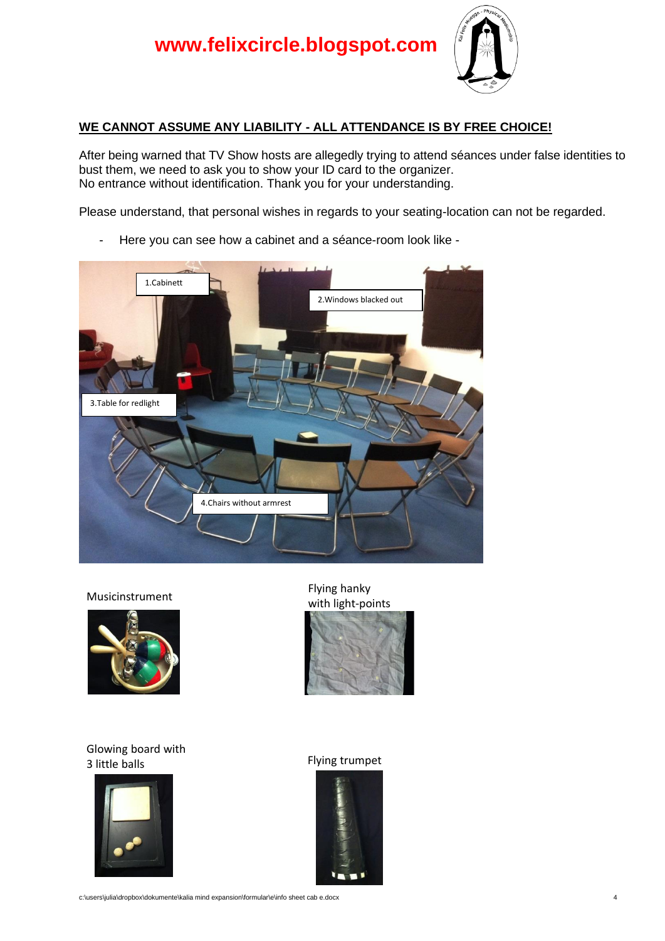

# **WE CANNOT ASSUME ANY LIABILITY - ALL ATTENDANCE IS BY FREE CHOICE!**

After being warned that TV Show hosts are allegedly trying to attend séances under false identities to bust them, we need to ask you to show your ID card to the organizer. No entrance without identification. Thank you for your understanding.

Please understand, that personal wishes in regards to your seating-location can not be regarded.

- Here you can see how a cabinet and a séance-room look like -





#### Glowing board with 3 little balls Flying trumpet



Musicinstrument Flying hanky with light-points





c:\users\julia\dropbox\dokumente\kalia mind expansion\formular\e\info sheet cab e.docx 4